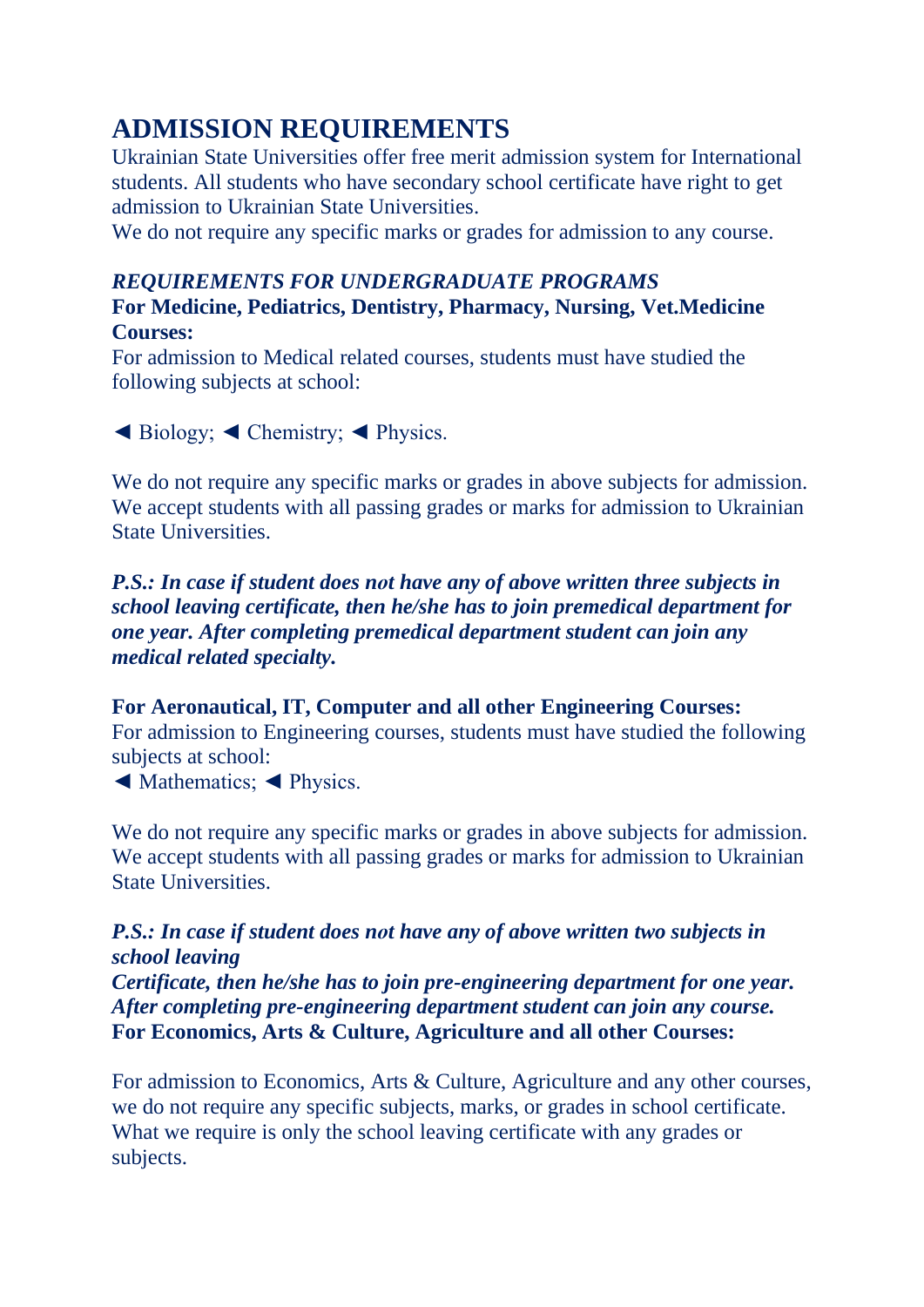# **ADMISSION REQUIREMENTS**

Ukrainian State Universities offer free merit admission system for International students. All students who have secondary school certificate have right to get admission to Ukrainian State Universities.

We do not require any specific marks or grades for admission to any course.

### *REQUIREMENTS FOR UNDERGRADUATE PROGRAMS*

**For Medicine, Pediatrics, Dentistry, Pharmacy, Nursing, Vet.Medicine Courses:**

For admission to Medical related courses, students must have studied the following subjects at school:

◄ Biology; ◄ Chemistry; ◄ Physics.

We do not require any specific marks or grades in above subjects for admission. We accept students with all passing grades or marks for admission to Ukrainian State Universities.

*P.S.: In case if student does not have any of above written three subjects in school leaving certificate, then he/she has to join premedical department for one year. After completing premedical department student can join any medical related specialty.*

### **For Aeronautical, IT, Computer and all other Engineering Courses:**

For admission to Engineering courses, students must have studied the following subjects at school:

◄ Mathematics; ◄ Physics.

We do not require any specific marks or grades in above subjects for admission. We accept students with all passing grades or marks for admission to Ukrainian State Universities.

### *P.S.: In case if student does not have any of above written two subjects in school leaving*

*Certificate, then he/she has to join pre-engineering department for one year. After completing pre-engineering department student can join any course.* **For Economics, Arts & Culture, Agriculture and all other Courses:**

For admission to Economics, Arts & Culture, Agriculture and any other courses, we do not require any specific subjects, marks, or grades in school certificate. What we require is only the school leaving certificate with any grades or subjects.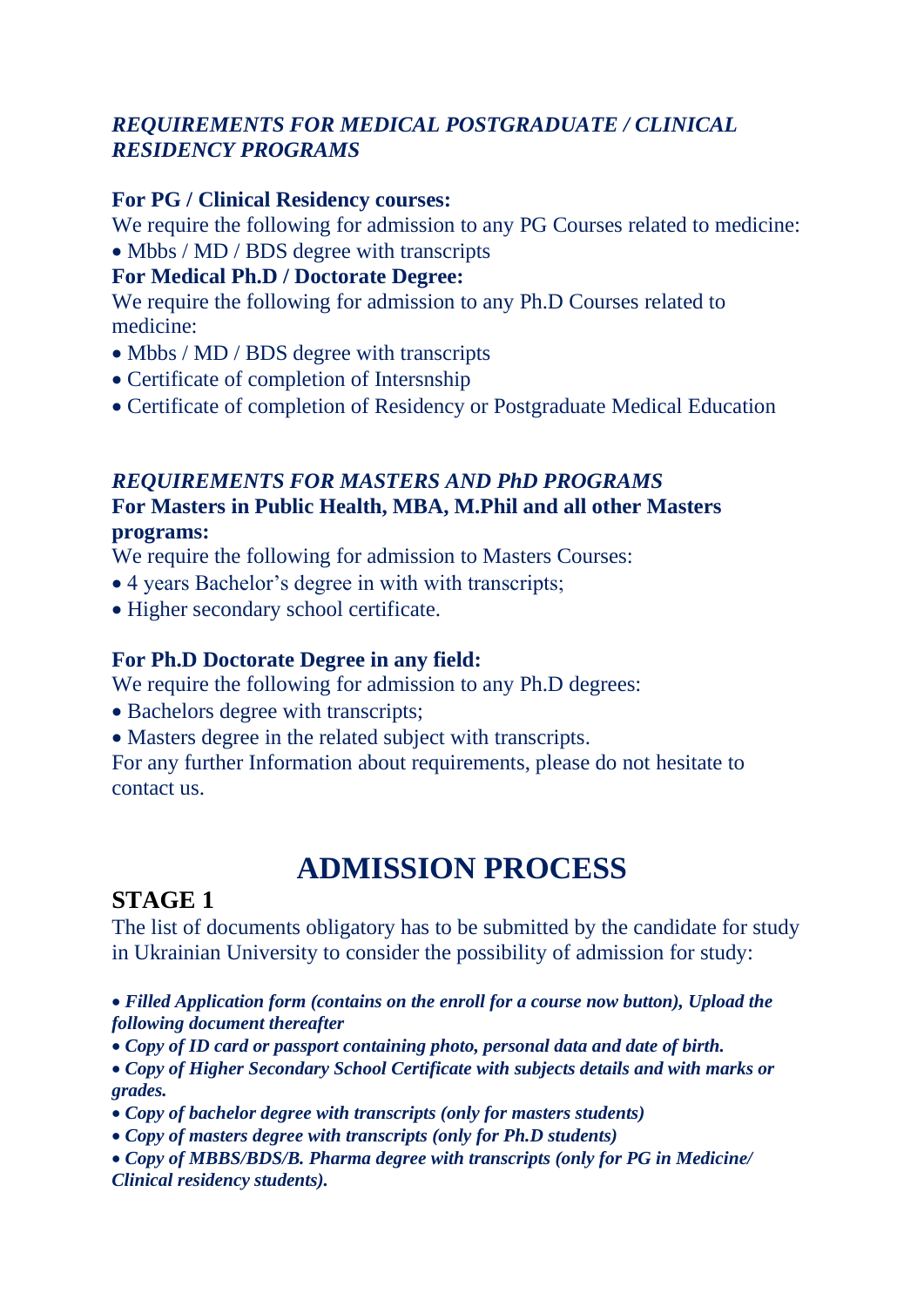### *REQUIREMENTS FOR MEDICAL POSTGRADUATE / CLINICAL RESIDENCY PROGRAMS*

### **For PG / Clinical Residency courses:**

We require the following for admission to any PG Courses related to medicine:

• Mbbs / MD / BDS degree with transcripts

#### **For Medical Ph.D / Doctorate Degree:**

We require the following for admission to any Ph.D Courses related to medicine:

- Mbbs / MD / BDS degree with transcripts
- Certificate of completion of Intersnship
- Certificate of completion of Residency or Postgraduate Medical Education

### *REQUIREMENTS FOR MASTERS AND PhD PROGRAMS* **For Masters in Public Health, MBA, M.Phil and all other Masters programs:**

We require the following for admission to Masters Courses:

- 4 years Bachelor's degree in with with transcripts;
- Higher secondary school certificate.

### **For Ph.D Doctorate Degree in any field:**

We require the following for admission to any Ph.D degrees:

- Bachelors degree with transcripts;
- Masters degree in the related subject with transcripts.

For any further Information about requirements, please do not hesitate to contact us.

# **ADMISSION PROCESS**

## **STAGE 1**

The list of documents obligatory has to be submitted by the candidate for study in Ukrainian University to consider the possibility of admission for study:

- *Filled Application form (contains on the enroll for a course now button), Upload the following document thereafter*
- *Copy of ID card or passport containing photo, personal data and date of birth.*
- *Copy of Higher Secondary School Certificate with subjects details and with marks or grades.*
- *Copy of bachelor degree with transcripts (only for masters students)*
- *Copy of masters degree with transcripts (only for Ph.D students)*
- *Copy of MBBS/BDS/B. Pharma degree with transcripts (only for PG in Medicine/ Clinical residency students).*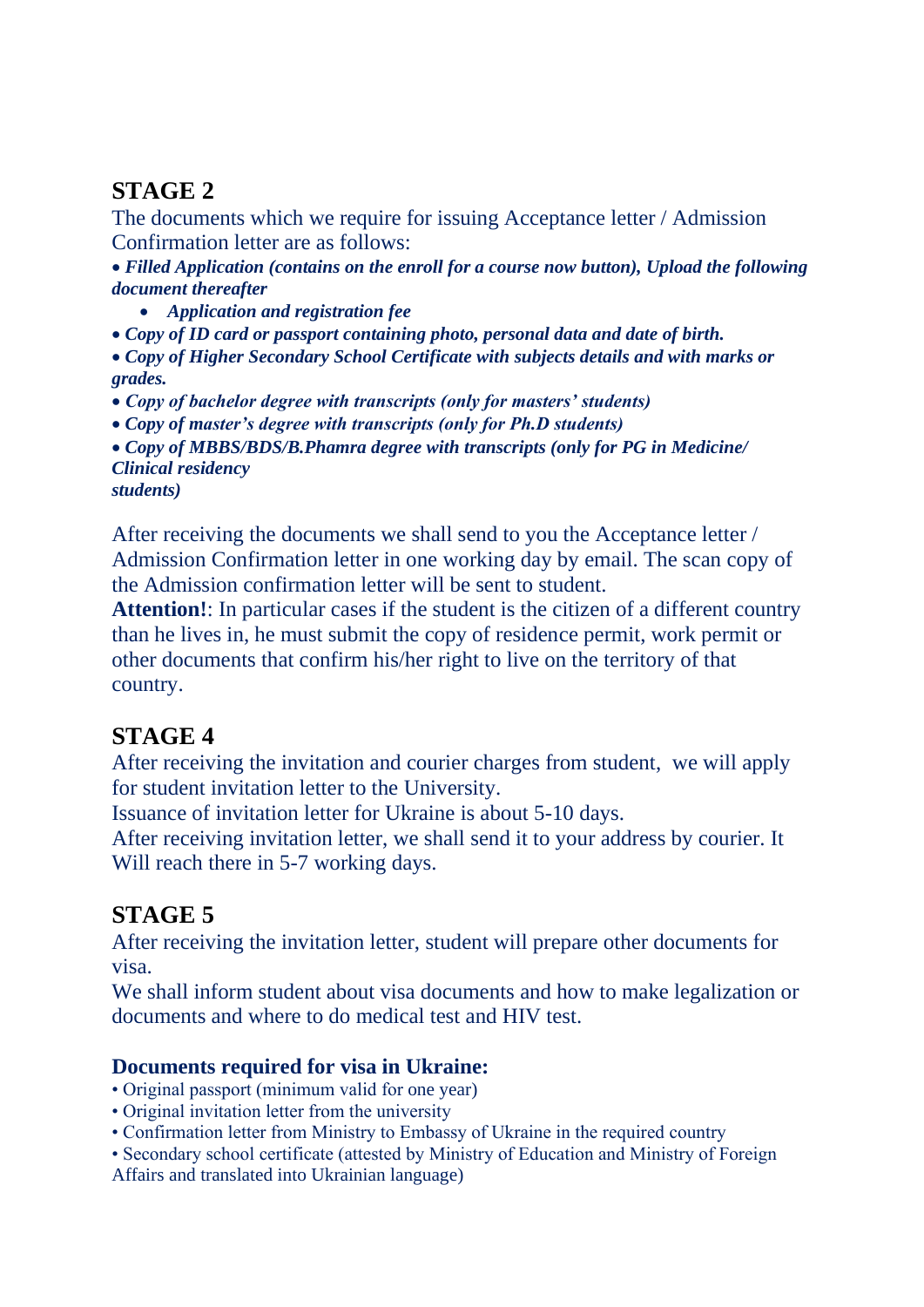# **STAGE 2**

The documents which we require for issuing Acceptance letter / Admission Confirmation letter are as follows:

• *Filled Application (contains on the enroll for a course now button), Upload the following document thereafter*

- *Application and registration fee*
- *Copy of ID card or passport containing photo, personal data and date of birth.*

• *Copy of Higher Secondary School Certificate with subjects details and with marks or grades.*

• *Copy of bachelor degree with transcripts (only for masters' students)*

• *Copy of master's degree with transcripts (only for Ph.D students)*

• *Copy of MBBS/BDS/B.Phamra degree with transcripts (only for PG in Medicine/ Clinical residency*

*students)*

After receiving the documents we shall send to you the Acceptance letter / Admission Confirmation letter in one working day by email. The scan copy of the Admission confirmation letter will be sent to student.

**Attention!**: In particular cases if the student is the citizen of a different country than he lives in, he must submit the copy of residence permit, work permit or other documents that confirm his/her right to live on the territory of that country.

# **STAGE 4**

After receiving the invitation and courier charges from student, we will apply for student invitation letter to the University.

Issuance of invitation letter for Ukraine is about 5-10 days.

After receiving invitation letter, we shall send it to your address by courier. It Will reach there in 5-7 working days.

# **STAGE 5**

After receiving the invitation letter, student will prepare other documents for visa.

We shall inform student about visa documents and how to make legalization or documents and where to do medical test and HIV test.

### **Documents required for visa in Ukraine:**

- Original passport (minimum valid for one year)
- Original invitation letter from the university
- Confirmation letter from Ministry to Embassy of Ukraine in the required country

• Secondary school certificate (attested by Ministry of Education and Ministry of Foreign Affairs and translated into Ukrainian language)